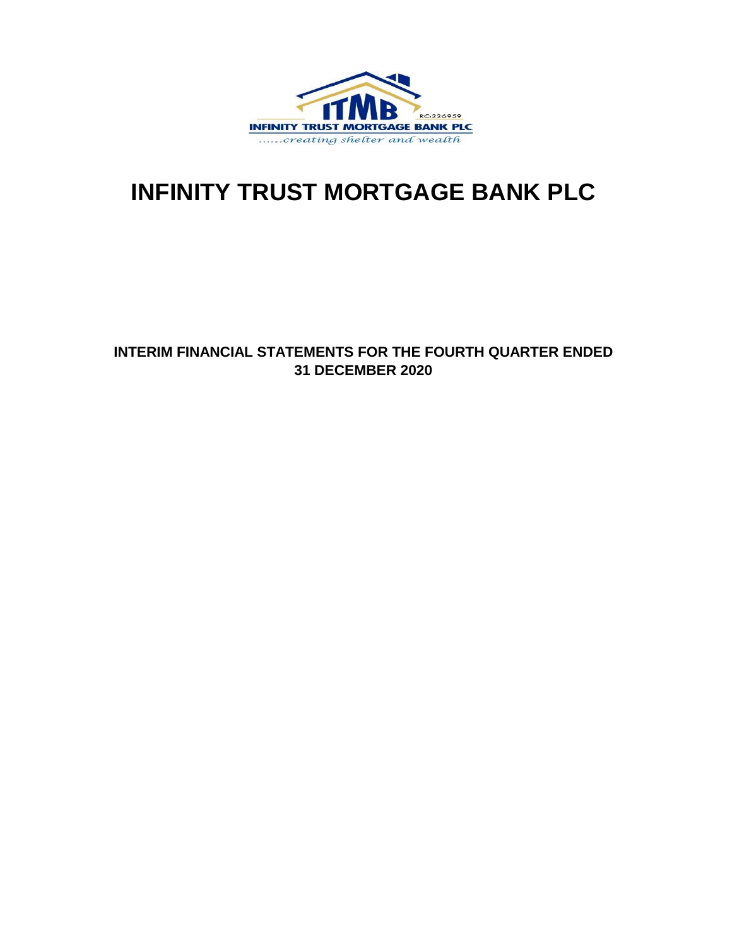

# **INFINITY TRUST MORTGAGE BANK PLC**

### **INTERIM FINANCIAL STATEMENTS FOR THE FOURTH QUARTER ENDED 31 DECEMBER 2020**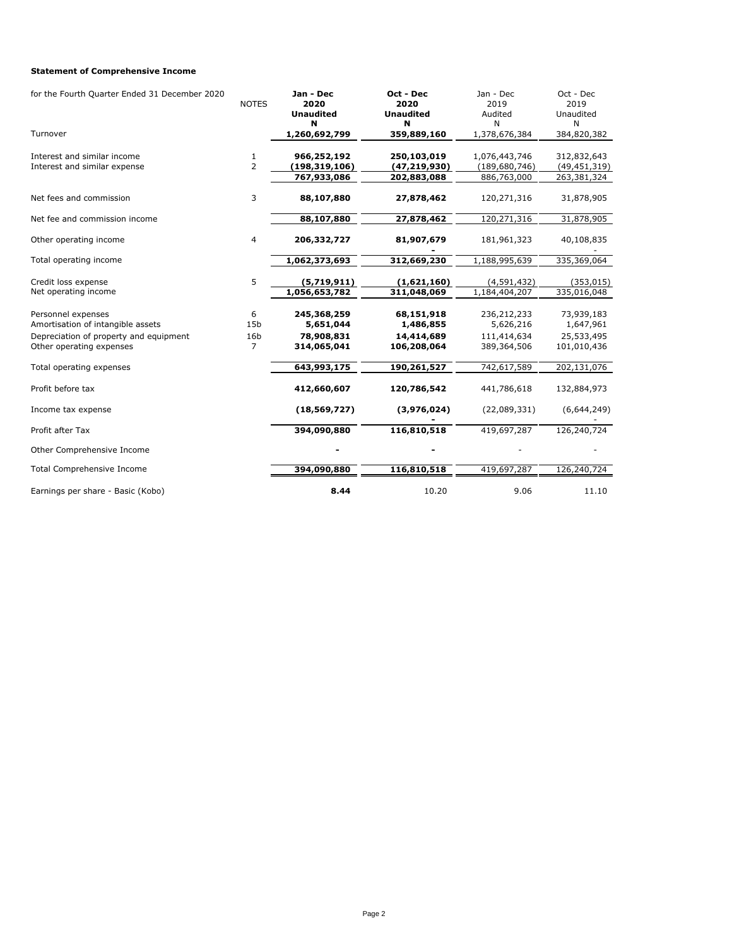### **Statement of Comprehensive Income**

| for the Fourth Quarter Ended 31 December 2020 | <b>NOTES</b>    | Jan - Dec<br>2020<br><b>Unaudited</b><br>N | Oct - Dec<br>2020<br><b>Unaudited</b><br>N | Jan - Dec<br>2019<br>Audited<br>N | Oct - Dec<br>2019<br>Unaudited<br>Ν |
|-----------------------------------------------|-----------------|--------------------------------------------|--------------------------------------------|-----------------------------------|-------------------------------------|
| Turnover                                      |                 | 1,260,692,799                              | 359,889,160                                | 1,378,676,384                     | 384,820,382                         |
| Interest and similar income                   | $\mathbf{1}$    | 966,252,192                                | 250,103,019                                | 1,076,443,746                     | 312,832,643                         |
| Interest and similar expense                  | $\overline{2}$  | (198, 319, 106)                            | (47,219,930)                               | (189, 680, 746)                   | (49, 451, 319)                      |
|                                               |                 | 767,933,086                                | 202,883,088                                | 886,763,000                       | 263,381,324                         |
| Net fees and commission                       | 3               | 88,107,880                                 | 27,878,462                                 | 120,271,316                       | 31,878,905                          |
| Net fee and commission income                 |                 | 88,107,880                                 | 27,878,462                                 | 120,271,316                       | 31,878,905                          |
| Other operating income                        | 4               | 206,332,727                                | 81,907,679                                 | 181,961,323                       | 40,108,835                          |
| Total operating income                        |                 | 1,062,373,693                              | 312,669,230                                | 1,188,995,639                     | 335,369,064                         |
| Credit loss expense                           | 5               | (5,719,911)                                | (1,621,160)                                | (4,591,432)                       | (353, 015)                          |
| Net operating income                          |                 | 1,056,653,782                              | 311,048,069                                | 1,184,404,207                     | 335,016,048                         |
| Personnel expenses                            | 6               | 245,368,259                                | 68,151,918                                 | 236,212,233                       | 73,939,183                          |
| Amortisation of intangible assets             | 15 <sub>b</sub> | 5,651,044                                  | 1,486,855                                  | 5,626,216                         | 1,647,961                           |
| Depreciation of property and equipment        | 16 <sub>b</sub> | 78,908,831                                 | 14,414,689                                 | 111,414,634                       | 25,533,495                          |
| Other operating expenses                      | 7               | 314,065,041                                | 106,208,064                                | 389,364,506                       | 101,010,436                         |
| Total operating expenses                      |                 | 643,993,175                                | 190,261,527                                | 742,617,589                       | 202,131,076                         |
| Profit before tax                             |                 | 412,660,607                                | 120,786,542                                | 441,786,618                       | 132,884,973                         |
| Income tax expense                            |                 | (18, 569, 727)                             | (3,976,024)                                | (22,089,331)                      | (6,644,249)                         |
| Profit after Tax                              |                 | 394,090,880                                | 116,810,518                                | 419,697,287                       | 126,240,724                         |
| Other Comprehensive Income                    |                 |                                            |                                            |                                   |                                     |
| Total Comprehensive Income                    |                 | 394,090,880                                | 116,810,518                                | 419,697,287                       | 126,240,724                         |
| Earnings per share - Basic (Kobo)             |                 | 8.44                                       | 10.20                                      | 9.06                              | 11.10                               |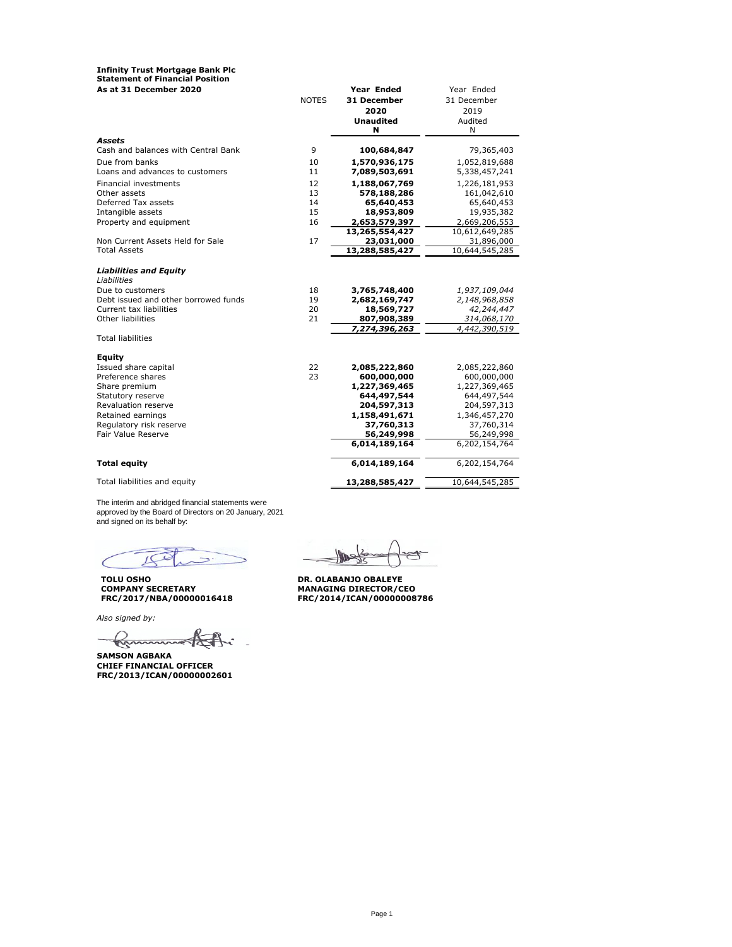# **Infinity Trust Mortgage Bank Plc Statement of Financial Position**

| As at 31 December 2020               |              | Year Ended         | Year Ended     |
|--------------------------------------|--------------|--------------------|----------------|
|                                      | <b>NOTES</b> | <b>31 December</b> | 31 December    |
|                                      |              | 2020               | 2019           |
|                                      |              | <b>Unaudited</b>   | Audited        |
|                                      |              | N                  | N              |
| <b>Assets</b>                        |              |                    |                |
| Cash and balances with Central Bank  | 9            | 100,684,847        | 79,365,403     |
| Due from banks                       | 10           | 1,570,936,175      | 1,052,819,688  |
| Loans and advances to customers      | 11           | 7,089,503,691      | 5,338,457,241  |
| <b>Financial investments</b>         | 12           | 1,188,067,769      | 1,226,181,953  |
| Other assets                         | 13           | 578,188,286        | 161,042,610    |
| Deferred Tax assets                  | 14           | 65,640,453         | 65,640,453     |
| Intangible assets                    | 15           | 18,953,809         | 19,935,382     |
| Property and equipment               | 16           | 2,653,579,397      | 2,669,206,553  |
|                                      |              | 13,265,554,427     | 10,612,649,285 |
| Non Current Assets Held for Sale     | 17           | 23,031,000         | 31,896,000     |
| <b>Total Assets</b>                  |              | 13,288,585,427     | 10,644,545,285 |
|                                      |              |                    |                |
| <b>Liabilities and Equity</b>        |              |                    |                |
| Liabilities<br>Due to customers      | 18           | 3,765,748,400      | 1,937,109,044  |
| Debt issued and other borrowed funds | 19           | 2,682,169,747      | 2,148,968,858  |
| Current tax liabilities              | 20           | 18,569,727         | 42,244,447     |
| Other liabilities                    | 21           | 807,908,389        | 314,068,170    |
|                                      |              | 7,274,396,263      | 4,442,390,519  |
| <b>Total liabilities</b>             |              |                    |                |
|                                      |              |                    |                |
| Equity                               |              |                    |                |
| Issued share capital                 | 22           | 2,085,222,860      | 2,085,222,860  |
| Preference shares                    | 23           | 600,000,000        | 600,000,000    |
| Share premium                        |              | 1,227,369,465      | 1,227,369,465  |
| Statutory reserve                    |              | 644,497,544        | 644,497,544    |
| Revaluation reserve                  |              | 204,597,313        | 204,597,313    |
| Retained earnings                    |              | 1,158,491,671      | 1,346,457,270  |
| Regulatory risk reserve              |              | 37,760,313         | 37,760,314     |
| Fair Value Reserve                   |              | 56,249,998         | 56,249,998     |
|                                      |              | 6,014,189,164      | 6,202,154,764  |
| <b>Total equity</b>                  |              | 6,014,189,164      | 6,202,154,764  |
| Total liabilities and equity         |              | 13,288,585,427     | 10,644,545,285 |
|                                      |              |                    |                |

The interim and abridged financial statements were approved by the Board of Directors on 20 January, 2021 and signed on its behalf by:

**TOLU OSHO DR. OLABANJO OBALEYE COMPANY SECRETARY MANAGING DIRECTOR/CEO**

*Also signed by:*

Finnin

**SAMSON AGBAKA CHIEF FINANCIAL OFFICER FRC/2013/ICAN/00000002601**

**FRC/2017/NBA/00000016418 FRC/2014/ICAN/00000008786**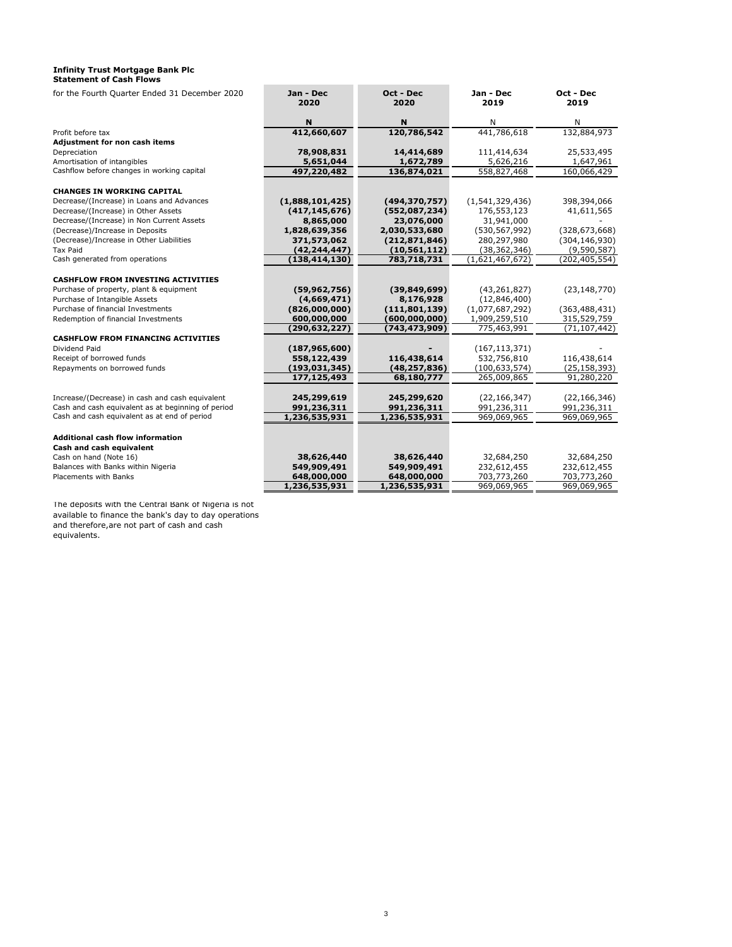#### **Infinity Trust Mortgage Bank Plc Statement of Cash Flows**

| for the Fourth Quarter Ended 31 December 2020      | Jan - Dec<br>2020                 | Oct - Dec<br>2020             | Jan - Dec<br>2019                 | Oct - Dec<br>2019              |
|----------------------------------------------------|-----------------------------------|-------------------------------|-----------------------------------|--------------------------------|
|                                                    |                                   |                               |                                   |                                |
|                                                    | N                                 | N                             | N                                 | N                              |
| Profit before tax                                  | 412,660,607                       | 120,786,542                   | 441,786,618                       | 132,884,973                    |
| Adjustment for non cash items                      |                                   |                               |                                   |                                |
| Depreciation                                       | 78,908,831                        | 14,414,689                    | 111,414,634                       | 25,533,495                     |
| Amortisation of intangibles                        | 5,651,044                         | 1,672,789                     | 5,626,216                         | 1,647,961                      |
| Cashflow before changes in working capital         | 497,220,482                       | 136,874,021                   | 558,827,468                       | 160,066,429                    |
|                                                    |                                   |                               |                                   |                                |
| <b>CHANGES IN WORKING CAPITAL</b>                  |                                   |                               |                                   |                                |
| Decrease/(Increase) in Loans and Advances          | (1,888,101,425)                   | (494, 370, 757)               | (1, 541, 329, 436)                | 398,394,066                    |
| Decrease/(Increase) in Other Assets                | (417, 145, 676)                   | (552,087,234)                 | 176,553,123                       | 41,611,565                     |
| Decrease/(Increase) in Non Current Assets          | 8,865,000                         | 23,076,000                    | 31,941,000                        |                                |
| (Decrease)/Increase in Deposits                    | 1,828,639,356                     | 2,030,533,680                 | (530, 567, 992)                   | (328, 673, 668)                |
| (Decrease)/Increase in Other Liabilities           | 371,573,062                       | (212, 871, 846)               | 280,297,980                       | (304, 146, 930)                |
| Tax Paid<br>Cash generated from operations         | (42, 244, 447)<br>(138, 414, 130) | (10, 561, 112)<br>783,718,731 | (38, 362, 346)<br>(1,621,467,672) | (9,590,587)<br>(202, 405, 554) |
|                                                    |                                   |                               |                                   |                                |
| <b>CASHFLOW FROM INVESTING ACTIVITIES</b>          |                                   |                               |                                   |                                |
| Purchase of property, plant & equipment            | (59, 962, 756)                    | (39, 849, 699)                | (43, 261, 827)                    | (23, 148, 770)                 |
| Purchase of Intangible Assets                      | (4,669,471)                       | 8,176,928                     | (12,846,400)                      |                                |
| Purchase of financial Investments                  | (826,000,000)                     | (111, 801, 139)               | (1,077,687,292)                   | (363, 488, 431)                |
| Redemption of financial Investments                | 600,000,000                       | (600,000,000)                 | 1,909,259,510                     | 315,529,759                    |
|                                                    | (290,632,227)                     | (743,473,909)                 | 775,463,991                       | (71,107,442)                   |
| <b>CASHFLOW FROM FINANCING ACTIVITIES</b>          |                                   |                               |                                   |                                |
| Dividend Paid                                      | (187, 965, 600)                   |                               | (167, 113, 371)                   |                                |
| Receipt of borrowed funds                          | 558,122,439                       | 116,438,614                   | 532,756,810                       | 116,438,614                    |
| Repayments on borrowed funds                       | (193, 031, 345)                   | (48, 257, 836)                | (100, 633, 574)                   | (25, 158, 393)                 |
|                                                    | 177,125,493                       | 68,180,777                    | 265,009,865                       | 91,280,220                     |
|                                                    |                                   |                               |                                   |                                |
| Increase/(Decrease) in cash and cash equivalent    | 245,299,619                       | 245,299,620                   | (22, 166, 347)                    | (22, 166, 346)                 |
| Cash and cash equivalent as at beginning of period | 991,236,311                       | 991,236,311                   | 991,236,311                       | 991,236,311                    |
| Cash and cash equivalent as at end of period       | 1,236,535,931                     | 1,236,535,931                 | 969,069,965                       | 969,069,965                    |
| <b>Additional cash flow information</b>            |                                   |                               |                                   |                                |
| Cash and cash equivalent                           |                                   |                               |                                   |                                |
| Cash on hand (Note 16)                             | 38,626,440                        | 38,626,440                    | 32,684,250                        | 32,684,250                     |
| Balances with Banks within Nigeria                 | 549,909,491                       | 549,909,491                   | 232,612,455                       | 232,612,455                    |
| Placements with Banks                              | 648,000,000                       | 648,000,000                   | 703,773,260                       | 703,773,260                    |
|                                                    | 1,236,535,931                     | 1,236,535,931                 | 969,069,965                       | 969,069,965                    |
|                                                    |                                   |                               |                                   |                                |

n m

The deposits with the Central Bank of Nigeria is not available to finance the bank's day to day operations and therefore,are not part of cash and cash equivalents.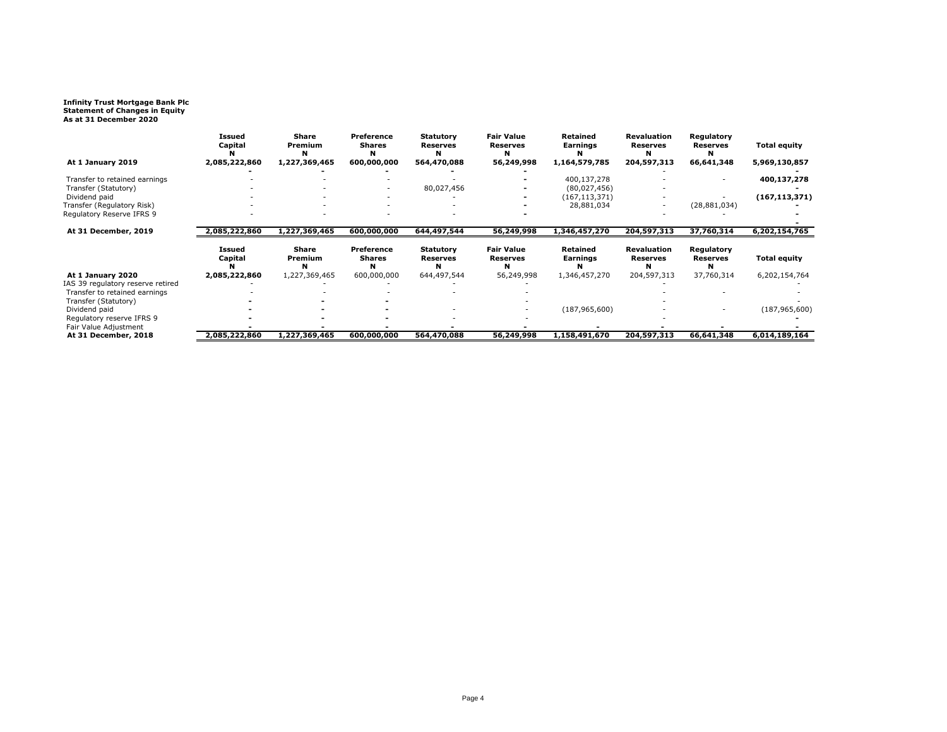## **Infinity Trust Mortgage Bank Plc Statement of Changes in Equity As at 31 December 2020**

|                                   | Issued<br>Capital | Share<br>Premium        | Preference<br><b>Shares</b> | <b>Statutory</b><br><b>Reserves</b> | <b>Fair Value</b><br><b>Reserves</b>      | Retained<br>Earnings        | <b>Revaluation</b><br><b>Reserves</b> | Regulatory<br><b>Reserves</b>      | Total equity    |
|-----------------------------------|-------------------|-------------------------|-----------------------------|-------------------------------------|-------------------------------------------|-----------------------------|---------------------------------------|------------------------------------|-----------------|
| At 1 January 2019                 | 2,085,222,860     | 1,227,369,465           | 600,000,000                 | 564,470,088                         | 56,249,998                                | 1,164,579,785               | 204,597,313                           | 66,641,348                         | 5,969,130,857   |
|                                   |                   |                         |                             |                                     |                                           |                             |                                       |                                    |                 |
| Transfer to retained earnings     |                   |                         |                             |                                     |                                           | 400,137,278                 |                                       |                                    | 400,137,278     |
| Transfer (Statutory)              |                   |                         |                             | 80,027,456                          |                                           | (80,027,456)                |                                       |                                    |                 |
| Dividend paid                     |                   |                         |                             |                                     |                                           | (167, 113, 371)             |                                       |                                    | (167, 113, 371) |
| Transfer (Regulatory Risk)        |                   |                         |                             |                                     |                                           | 28,881,034                  |                                       | (28, 881, 034)                     |                 |
| Regulatory Reserve IFRS 9         |                   |                         |                             |                                     |                                           |                             |                                       |                                    |                 |
| At 31 December, 2019              | 2,085,222,860     | 1,227,369,465           | 600,000,000                 | 644,497,544                         | 56,249,998                                | 1,346,457,270               | 204,597,313                           | 37,760,314                         | 6,202,154,765   |
|                                   | Issued<br>Capital | <b>Share</b><br>Premium | Preference<br><b>Shares</b> | <b>Statutory</b><br><b>Reserves</b> | <b>Fair Value</b><br><b>Reserves</b><br>N | <b>Retained</b><br>Earnings | <b>Revaluation</b><br><b>Reserves</b> | Regulatory<br><b>Reserves</b><br>N | Total equity    |
| At 1 January 2020                 | 2,085,222,860     | 1,227,369,465           | 600,000,000                 | 644,497,544                         | 56,249,998                                | 1,346,457,270               | 204,597,313                           | 37,760,314                         | 6,202,154,764   |
| IAS 39 regulatory reserve retired |                   |                         |                             |                                     |                                           |                             |                                       |                                    |                 |
| Transfer to retained earnings     |                   |                         |                             |                                     |                                           |                             |                                       |                                    |                 |
| Transfer (Statutory)              |                   |                         |                             |                                     |                                           |                             |                                       |                                    |                 |
| Dividend paid                     |                   |                         |                             |                                     |                                           | (187, 965, 600)             |                                       |                                    | (187, 965, 600) |
| Regulatory reserve IFRS 9         |                   |                         |                             |                                     |                                           |                             |                                       |                                    |                 |
| Fair Value Adjustment             |                   |                         |                             |                                     |                                           |                             |                                       |                                    |                 |
| At 31 December, 2018              | 2,085,222,860     | 1,227,369,465           | 600,000,000                 | 564,470,088                         | 56,249,998                                | 1,158,491,670               | 204,597,313                           | 66,641,348                         | 6,014,189,164   |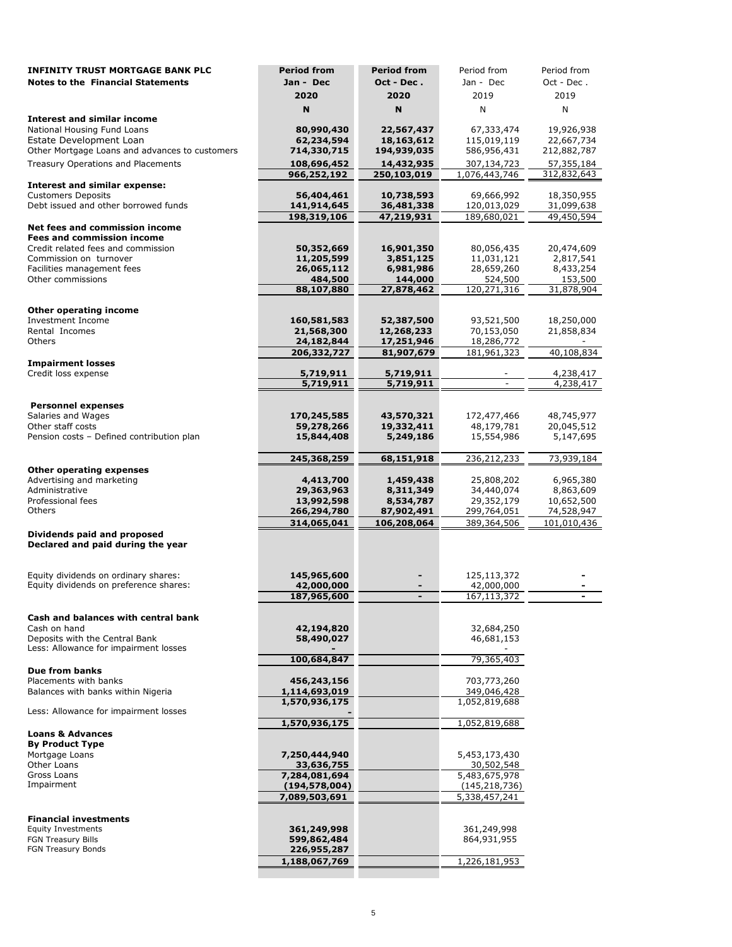| <b>INFINITY TRUST MORTGAGE BANK PLC</b>                           | <b>Period from</b>        | <b>Period from</b>       | Period from               | Period from              |
|-------------------------------------------------------------------|---------------------------|--------------------------|---------------------------|--------------------------|
| <b>Notes to the Financial Statements</b>                          | Jan - Dec                 | Oct - Dec.               | Jan - Dec                 | Oct - Dec.               |
|                                                                   | 2020                      | 2020                     | 2019                      | 2019                     |
|                                                                   | $\mathbf N$               | N                        | N                         | N                        |
| <b>Interest and similar income</b>                                |                           |                          |                           |                          |
| National Housing Fund Loans                                       | 80,990,430                | 22,567,437               | 67,333,474                | 19,926,938               |
| Estate Development Loan                                           | 62,234,594                | 18,163,612               | 115,019,119               | 22,667,734               |
| Other Mortgage Loans and advances to customers                    | 714,330,715               | 194,939,035              | 586,956,431               | 212,882,787              |
| Treasury Operations and Placements                                | 108,696,452               | 14,432,935               | 307,134,723               | 57,355,184               |
|                                                                   | 966,252,192               | 250,103,019              | 1,076,443,746             | 312,832,643              |
| <b>Interest and similar expense:</b>                              |                           |                          |                           |                          |
| <b>Customers Deposits</b><br>Debt issued and other borrowed funds | 56,404,461<br>141,914,645 | 10,738,593<br>36,481,338 | 69,666,992<br>120,013,029 | 18,350,955<br>31,099,638 |
|                                                                   | 198,319,106               | 47,219,931               | 189,680,021               | 49,450,594               |
| Net fees and commission income                                    |                           |                          |                           |                          |
| <b>Fees and commission income</b>                                 |                           |                          |                           |                          |
| Credit related fees and commission                                | 50,352,669                | 16,901,350               | 80,056,435                | 20,474,609               |
| Commission on turnover                                            | 11,205,599                | 3,851,125                | 11,031,121                | 2,817,541                |
| Facilities management fees<br>Other commissions                   | 26,065,112                | 6,981,986                | 28,659,260                | 8,433,254                |
|                                                                   | 484,500<br>88,107,880     | 144,000<br>27,878,462    | 524,500<br>120,271,316    | 153,500<br>31,878,904    |
|                                                                   |                           |                          |                           |                          |
| Other operating income                                            |                           |                          |                           |                          |
| Investment Income                                                 | 160,581,583               | 52,387,500               | 93,521,500                | 18,250,000               |
| Rental Incomes                                                    | 21,568,300                | 12,268,233               | 70,153,050                | 21,858,834               |
| Others                                                            | 24,182,844<br>206,332,727 | 17,251,946<br>81,907,679 | 18,286,772<br>181,961,323 | 40,108,834               |
| <b>Impairment losses</b>                                          |                           |                          |                           |                          |
| Credit loss expense                                               | 5,719,911                 | 5,719,911                |                           | 4,238,417                |
|                                                                   | 5,719,911                 | 5,719,911                |                           | 4,238,417                |
|                                                                   |                           |                          |                           |                          |
| <b>Personnel expenses</b>                                         |                           |                          |                           |                          |
| Salaries and Wages<br>Other staff costs                           | 170,245,585<br>59,278,266 | 43,570,321<br>19,332,411 | 172,477,466<br>48,179,781 | 48,745,977<br>20,045,512 |
| Pension costs - Defined contribution plan                         | 15,844,408                | 5,249,186                | 15,554,986                | 5,147,695                |
|                                                                   |                           |                          |                           |                          |
|                                                                   | 245,368,259               | 68,151,918               | 236,212,233               | 73,939,184               |
| Other operating expenses<br>Advertising and marketing             |                           |                          |                           |                          |
| Administrative                                                    | 4,413,700<br>29,363,963   | 1,459,438<br>8,311,349   | 25,808,202<br>34,440,074  | 6,965,380<br>8,863,609   |
| Professional fees                                                 | 13,992,598                | 8,534,787                | 29,352,179                | 10,652,500               |
| Others                                                            | 266,294,780               | 87,902,491               | 299,764,051               | 74,528,947               |
|                                                                   | 314,065,041               | 106,208,064              | 389,364,506               | 101,010,436              |
| Dividends paid and proposed                                       |                           |                          |                           |                          |
| Declared and paid during the year                                 |                           |                          |                           |                          |
|                                                                   |                           |                          |                           |                          |
| Equity dividends on ordinary shares:                              | 145,965,600               |                          | 125,113,372               |                          |
| Equity dividends on preference shares:                            | 42,000,000                | $\blacksquare$           | 42,000,000                |                          |
|                                                                   | 187,965,600               | $\overline{\phantom{a}}$ | 167, 113, 372             | $\blacksquare$           |
| Cash and balances with central bank                               |                           |                          |                           |                          |
| Cash on hand                                                      | 42,194,820                |                          | 32,684,250                |                          |
| Deposits with the Central Bank                                    | 58,490,027                |                          | 46,681,153                |                          |
| Less: Allowance for impairment losses                             |                           |                          |                           |                          |
| <b>Due from banks</b>                                             | 100,684,847               |                          | 79,365,403                |                          |
| Placements with banks                                             | 456,243,156               |                          | 703,773,260               |                          |
| Balances with banks within Nigeria                                | 1,114,693,019             |                          | 349,046,428               |                          |
|                                                                   | 1,570,936,175             |                          | 1,052,819,688             |                          |
| Less: Allowance for impairment losses                             | 1,570,936,175             |                          |                           |                          |
| <b>Loans &amp; Advances</b>                                       |                           |                          | 1,052,819,688             |                          |
| <b>By Product Type</b>                                            |                           |                          |                           |                          |
| Mortgage Loans                                                    | 7,250,444,940             |                          | 5,453,173,430             |                          |
| Other Loans                                                       | 33,636,755                |                          | 30,502,548                |                          |
| Gross Loans                                                       | 7,284,081,694             |                          | 5,483,675,978             |                          |
| Impairment                                                        | (194, 578, 004)           |                          | (145, 218, 736)           |                          |
|                                                                   | 7,089,503,691             |                          | 5,338,457,241             |                          |
| <b>Financial investments</b>                                      |                           |                          |                           |                          |
| <b>Equity Investments</b>                                         | 361,249,998               |                          | 361,249,998               |                          |
| FGN Treasury Bills                                                | 599,862,484               |                          | 864,931,955               |                          |
| FGN Treasury Bonds                                                | 226,955,287               |                          |                           |                          |
|                                                                   | 1,188,067,769             |                          | 1,226,181,953             |                          |
|                                                                   |                           |                          |                           |                          |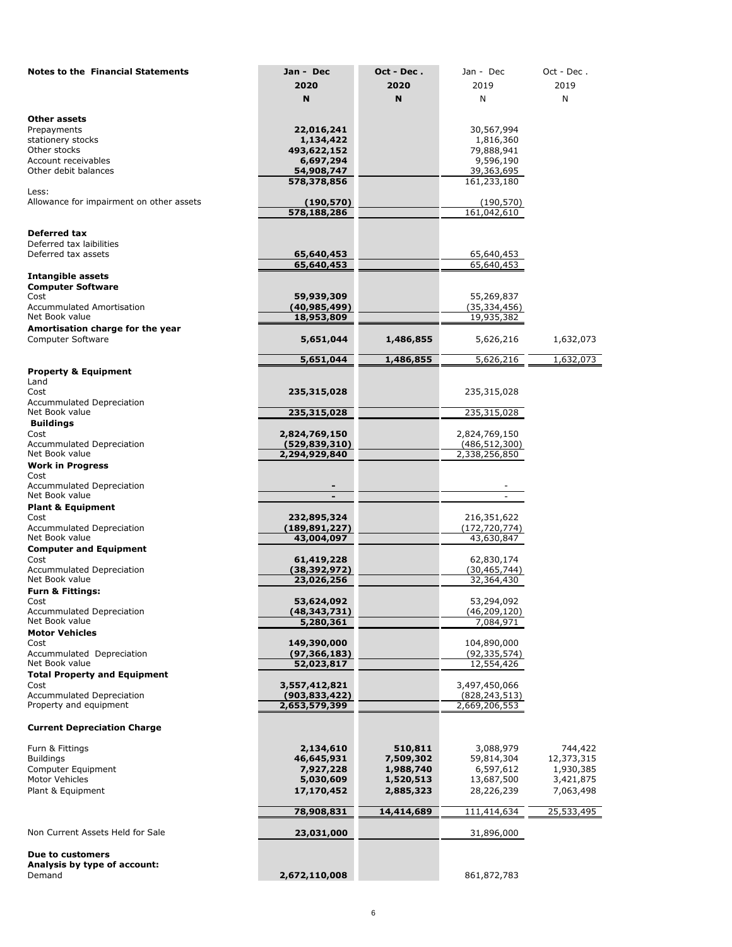| <b>Notes to the Financial Statements</b>                | Jan - Dec                        | Oct - Dec. | Jan - Dec                        | Oct - Dec. |
|---------------------------------------------------------|----------------------------------|------------|----------------------------------|------------|
|                                                         | 2020                             | 2020       | 2019                             | 2019       |
|                                                         | N                                | N          | N                                | N          |
|                                                         |                                  |            |                                  |            |
| <b>Other assets</b>                                     |                                  |            |                                  |            |
| Prepayments                                             | 22,016,241                       |            | 30,567,994                       |            |
| stationery stocks<br>Other stocks                       | 1,134,422<br>493,622,152         |            | 1,816,360<br>79,888,941          |            |
| Account receivables                                     | 6,697,294                        |            | 9,596,190                        |            |
| Other debit balances                                    | 54,908,747                       |            | 39,363,695                       |            |
|                                                         | 578,378,856                      |            | 161,233,180                      |            |
| Less:                                                   |                                  |            |                                  |            |
| Allowance for impairment on other assets                | (190, 570)<br>578,188,286        |            | (190, 570)<br>161,042,610        |            |
|                                                         |                                  |            |                                  |            |
| Deferred tax                                            |                                  |            |                                  |            |
| Deferred tax laibilities                                |                                  |            |                                  |            |
| Deferred tax assets                                     | 65,640,453                       |            | 65,640,453                       |            |
|                                                         | 65,640,453                       |            | 65,640,453                       |            |
| <b>Intangible assets</b><br><b>Computer Software</b>    |                                  |            |                                  |            |
| Cost                                                    | 59,939,309                       |            | 55,269,837                       |            |
| Accummulated Amortisation                               | (40,985,499)                     |            | (35,334,456)                     |            |
| Net Book value                                          | 18,953,809                       |            | 19,935,382                       |            |
| Amortisation charge for the year                        |                                  |            |                                  |            |
| Computer Software                                       | 5,651,044                        | 1,486,855  | 5,626,216                        | 1,632,073  |
|                                                         | 5,651,044                        | 1,486,855  | 5,626,216                        | 1,632,073  |
| <b>Property &amp; Equipment</b>                         |                                  |            |                                  |            |
| Land                                                    |                                  |            |                                  |            |
| Cost                                                    | 235,315,028                      |            | 235,315,028                      |            |
| Accummulated Depreciation                               |                                  |            |                                  |            |
| Net Book value                                          | 235,315,028                      |            | 235,315,028                      |            |
| <b>Buildings</b><br>Cost                                |                                  |            |                                  |            |
| Accummulated Depreciation                               | 2,824,769,150<br>(529, 839, 310) |            | 2,824,769,150<br>(486, 512, 300) |            |
| Net Book value                                          | 2,294,929,840                    |            | 2,338,256,850                    |            |
| <b>Work in Progress</b>                                 |                                  |            |                                  |            |
| Cost                                                    |                                  |            |                                  |            |
| <b>Accummulated Depreciation</b>                        |                                  |            |                                  |            |
| Net Book value<br><b>Plant &amp; Equipment</b>          |                                  |            |                                  |            |
| Cost                                                    | 232,895,324                      |            | 216,351,622                      |            |
| <b>Accummulated Depreciation</b>                        | (189, 891, 227)                  |            | (172, 720, 774)                  |            |
| Net Book value                                          | 43,004,097                       |            | 43,630,847                       |            |
| <b>Computer and Equipment</b>                           |                                  |            |                                  |            |
| Cost                                                    | 61,419,228                       |            | 62,830,174                       |            |
| Accummulated Depreciation<br>Net Book value             | (38,392,972)<br>23,026,256       |            | (30,465,744)<br>32,364,430       |            |
| <b>Furn &amp; Fittings:</b>                             |                                  |            |                                  |            |
| Cost                                                    | 53,624,092                       |            | 53,294,092                       |            |
| <b>Accummulated Depreciation</b>                        | (48, 343, 731)                   |            | (46, 209, 120)                   |            |
| Net Book value                                          | 5,280,361                        |            | 7,084,971                        |            |
| <b>Motor Vehicles</b>                                   |                                  |            |                                  |            |
| Cost<br>Accummulated Depreciation                       | 149,390,000<br>(97, 366, 183)    |            | 104,890,000<br>(92, 335, 574)    |            |
| Net Book value                                          | 52,023,817                       |            | 12,554,426                       |            |
| <b>Total Property and Equipment</b>                     |                                  |            |                                  |            |
| Cost                                                    | 3,557,412,821                    |            | 3,497,450,066                    |            |
| <b>Accummulated Depreciation</b>                        | (903, 833, 422)                  |            | (828, 243, 513)                  |            |
| Property and equipment                                  | 2,653,579,399                    |            | 2,669,206,553                    |            |
| <b>Current Depreciation Charge</b>                      |                                  |            |                                  |            |
|                                                         |                                  |            |                                  |            |
| Furn & Fittings                                         | 2,134,610                        | 510,811    | 3,088,979                        | 744,422    |
| Buildings                                               | 46,645,931                       | 7,509,302  | 59,814,304                       | 12,373,315 |
| Computer Equipment                                      | 7,927,228                        | 1,988,740  | 6,597,612                        | 1,930,385  |
| Motor Vehicles                                          | 5,030,609                        | 1,520,513  | 13,687,500                       | 3,421,875  |
| Plant & Equipment                                       | 17,170,452                       | 2,885,323  | 28,226,239                       | 7,063,498  |
|                                                         | 78,908,831                       | 14,414,689 | 111,414,634                      | 25,533,495 |
|                                                         |                                  |            |                                  |            |
| Non Current Assets Held for Sale                        | 23,031,000                       |            | 31,896,000                       |            |
|                                                         |                                  |            |                                  |            |
| <b>Due to customers</b><br>Analysis by type of account: |                                  |            |                                  |            |
| Demand                                                  | 2,672,110,008                    |            | 861,872,783                      |            |